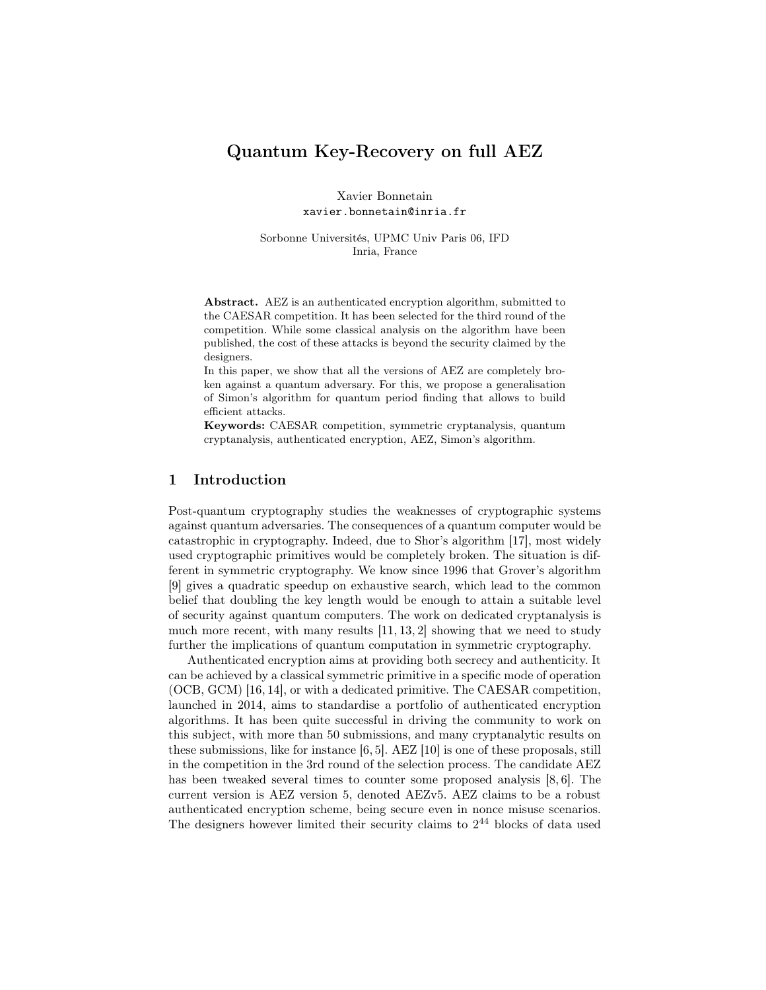# Quantum Key-Recovery on full AEZ

Xavier Bonnetain xavier.bonnetain@inria.fr

Sorbonne Universités, UPMC Univ Paris 06, IFD Inria, France

Abstract. AEZ is an authenticated encryption algorithm, submitted to the CAESAR competition. It has been selected for the third round of the competition. While some classical analysis on the algorithm have been published, the cost of these attacks is beyond the security claimed by the designers.

In this paper, we show that all the versions of AEZ are completely broken against a quantum adversary. For this, we propose a generalisation of Simon's algorithm for quantum period finding that allows to build efficient attacks.

Keywords: CAESAR competition, symmetric cryptanalysis, quantum cryptanalysis, authenticated encryption, AEZ, Simon's algorithm.

# 1 Introduction

Post-quantum cryptography studies the weaknesses of cryptographic systems against quantum adversaries. The consequences of a quantum computer would be catastrophic in cryptography. Indeed, due to Shor's algorithm [17], most widely used cryptographic primitives would be completely broken. The situation is different in symmetric cryptography. We know since 1996 that Grover's algorithm [9] gives a quadratic speedup on exhaustive search, which lead to the common belief that doubling the key length would be enough to attain a suitable level of security against quantum computers. The work on dedicated cryptanalysis is much more recent, with many results  $[11, 13, 2]$  showing that we need to study further the implications of quantum computation in symmetric cryptography.

Authenticated encryption aims at providing both secrecy and authenticity. It can be achieved by a classical symmetric primitive in a specific mode of operation (OCB, GCM) [16, 14], or with a dedicated primitive. The CAESAR competition, launched in 2014, aims to standardise a portfolio of authenticated encryption algorithms. It has been quite successful in driving the community to work on this subject, with more than 50 submissions, and many cryptanalytic results on these submissions, like for instance [6, 5]. AEZ [10] is one of these proposals, still in the competition in the 3rd round of the selection process. The candidate AEZ has been tweaked several times to counter some proposed analysis [8, 6]. The current version is AEZ version 5, denoted AEZv5. AEZ claims to be a robust authenticated encryption scheme, being secure even in nonce misuse scenarios. The designers however limited their security claims to  $2^{44}$  blocks of data used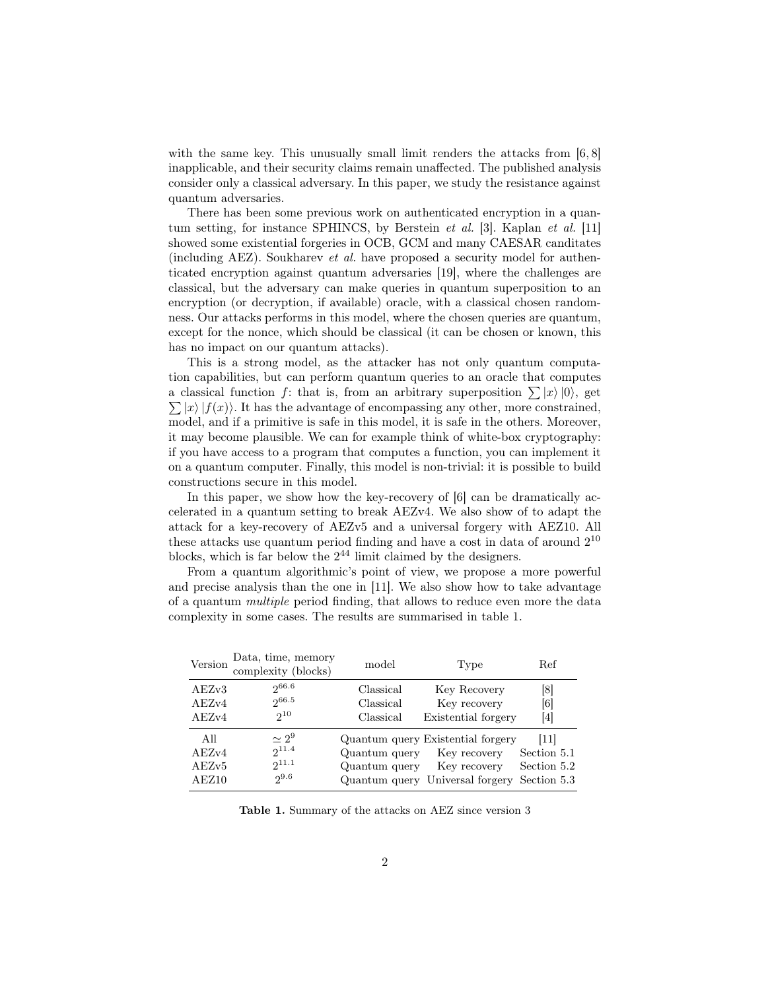with the same key. This unusually small limit renders the attacks from [6,8] inapplicable, and their security claims remain unaffected. The published analysis consider only a classical adversary. In this paper, we study the resistance against quantum adversaries.

There has been some previous work on authenticated encryption in a quantum setting, for instance SPHINCS, by Berstein *et al.* [3]. Kaplan *et al.* [11] showed some existential forgeries in OCB, GCM and many CAESAR canditates (including AEZ). Soukharev *et al.* have proposed a security model for authenticated encryption against quantum adversaries [19], where the challenges are classical, but the adversary can make queries in quantum superposition to an encryption (or decryption, if available) oracle, with a classical chosen randomness. Our attacks performs in this model, where the chosen queries are quantum, except for the nonce, which should be classical (it can be chosen or known, this has no impact on our quantum attacks).

This is a strong model, as the attacker has not only quantum computation capabilities, but can perform quantum queries to an oracle that computes a classical function *f*: that is, from an arbitrary superposition  $\sum |x\rangle |0\rangle$ , get  $\sum |x\rangle |f(x)\rangle$ . It has the advantage of encompassing any other, more constrained, model, and if a primitive is safe in this model, it is safe in the others. Moreover, it may become plausible. We can for example think of white-box cryptography: if you have access to a program that computes a function, you can implement it on a quantum computer. Finally, this model is non-trivial: it is possible to build constructions secure in this model.

In this paper, we show how the key-recovery of [6] can be dramatically accelerated in a quantum setting to break AEZv4. We also show of to adapt the attack for a key-recovery of AEZv5 and a universal forgery with AEZ10. All these attacks use quantum period finding and have a cost in data of around  $2^{10}$ blocks, which is far below the 2 <sup>44</sup> limit claimed by the designers.

From a quantum algorithmic's point of view, we propose a more powerful and precise analysis than the one in [11]. We also show how to take advantage of a quantum *multiple* period finding, that allows to reduce even more the data complexity in some cases. The results are summarised in table 1.

| Version                        | Data, time, memory<br>complexity (blocks)             | model                          | Type                                                                                                 | Ref                                              |
|--------------------------------|-------------------------------------------------------|--------------------------------|------------------------------------------------------------------------------------------------------|--------------------------------------------------|
| AEZv3<br>AEZv4                 | 266.6<br>266.5                                        | Classical<br>Classical         | Key Recovery<br>Key recovery                                                                         | 81<br>$\left[ 6 \right]$                         |
| AEZv4                          | $2^{10}$                                              | Classical                      | Existential forgery                                                                                  | 4                                                |
| All<br>AEZv4<br>AEZv5<br>AEZ10 | $\simeq 2^9$<br>$2^{11.4}$<br>$2^{11.1}$<br>$2^{9.6}$ | Quantum query<br>Quantum query | Quantum query Existential forgery<br>Key recovery<br>Key recovery<br>Quantum query Universal forgery | 11 <br>Section 5.1<br>Section 5.2<br>Section 5.3 |

Table 1. Summary of the attacks on AEZ since version 3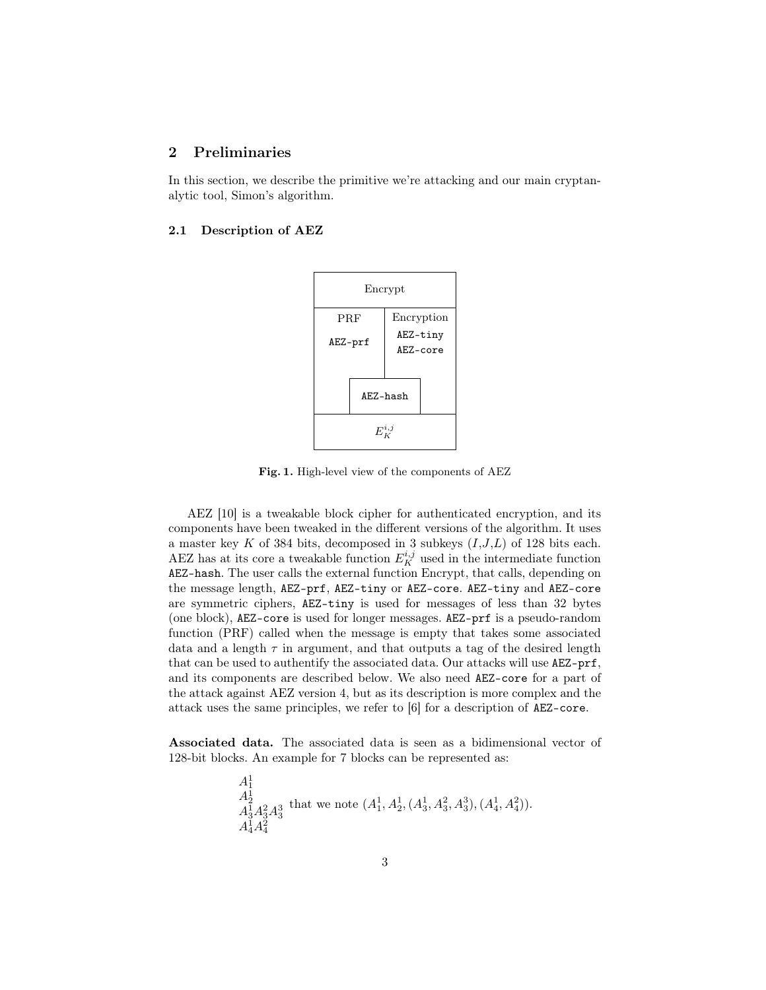# 2 Preliminaries

In this section, we describe the primitive we're attacking and our main cryptanalytic tool, Simon's algorithm.

#### 2.1 Description of AEZ



Fig. 1. High-level view of the components of AEZ

AEZ [10] is a tweakable block cipher for authenticated encryption, and its components have been tweaked in the different versions of the algorithm. It uses a master key *K* of 384 bits, decomposed in 3 subkeys (*I*,*J*,*L*) of 128 bits each. AEZ has at its core a tweakable function  $E_K^{i,j}$  used in the intermediate function AEZ-hash. The user calls the external function Encrypt, that calls, depending on the message length, AEZ-prf, AEZ-tiny or AEZ-core. AEZ-tiny and AEZ-core are symmetric ciphers, AEZ-tiny is used for messages of less than 32 bytes (one block), AEZ-core is used for longer messages. AEZ-prf is a pseudo-random function (PRF) called when the message is empty that takes some associated data and a length  $\tau$  in argument, and that outputs a tag of the desired length that can be used to authentify the associated data. Our attacks will use AEZ-prf, and its components are described below. We also need AEZ-core for a part of the attack against AEZ version 4, but as its description is more complex and the attack uses the same principles, we refer to [6] for a description of AEZ-core.

Associated data. The associated data is seen as a bidimensional vector of 128-bit blocks. An example for 7 blocks can be represented as:

$$
\begin{array}{l} A^1_1\\ A^1_2\\ A^1_3A^2_3A^3_3 \end{array} \text{that we note } (A^1_1, A^1_2, (A^1_3, A^2_3, A^3_3), (A^1_4, A^2_4)).\\ A^1_4A^2_4
$$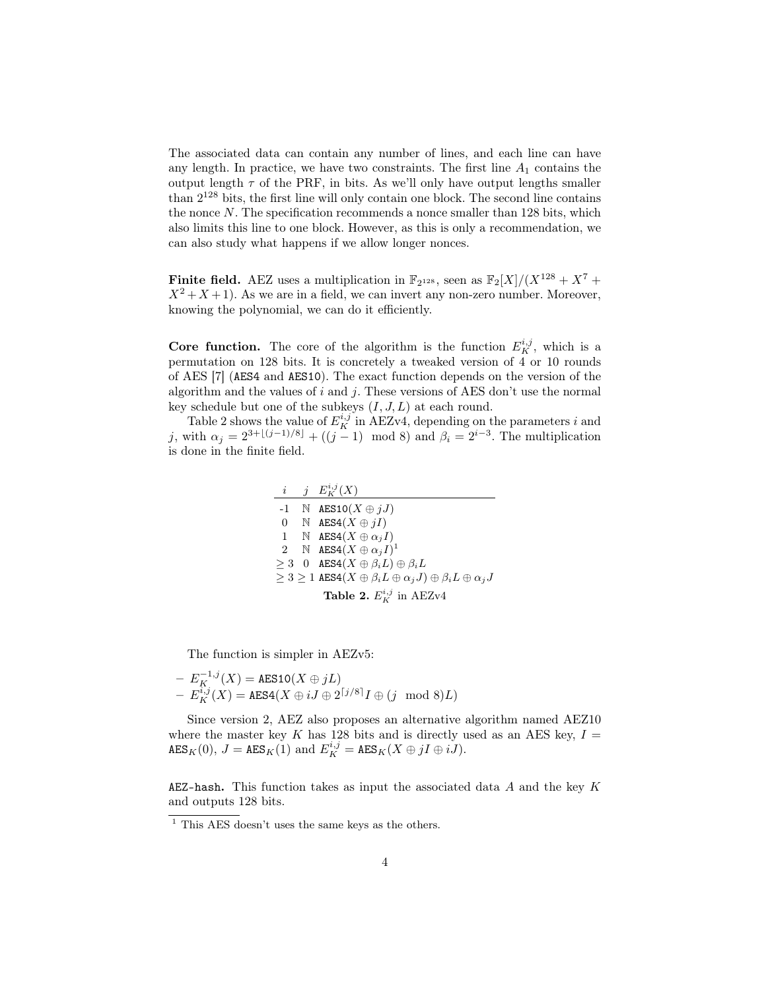The associated data can contain any number of lines, and each line can have any length. In practice, we have two constraints. The first line  $A_1$  contains the output length  $\tau$  of the PRF, in bits. As we'll only have output lengths smaller than 2 <sup>128</sup> bits, the first line will only contain one block. The second line contains the nonce *N*. The specification recommends a nonce smaller than 128 bits, which also limits this line to one block. However, as this is only a recommendation, we can also study what happens if we allow longer nonces.

**Finite field.** AEZ uses a multiplication in  $\mathbb{F}_{2^{128}}$ , seen as  $\mathbb{F}_{2}[X]/(X^{128} + X^7 + X^8)$  $X^2 + X + 1$ ). As we are in a field, we can invert any non-zero number. Moreover, knowing the polynomial, we can do it efficiently.

**Core function.** The core of the algorithm is the function  $E_K^{i,j}$ , which is a permutation on 128 bits. It is concretely a tweaked version of 4 or 10 rounds of AES [7] (AES4 and AES10). The exact function depends on the version of the algorithm and the values of *i* and *j*. These versions of AES don't use the normal key schedule but one of the subkeys (*I, J, L*) at each round.

Table 2 shows the value of  $E_K^{i,j}$  in AEZv4, depending on the parameters *i* and *j*, with  $\alpha_j = 2^{3 + \lfloor (j-1)/8 \rfloor} + ((j-1) \mod 8)$  and  $\beta_i = 2^{i-3}$ . The multiplication is done in the finite field.

|                                      |  | $i \quad j \quad E_K^{i,j}(X)$                                                                   |  |
|--------------------------------------|--|--------------------------------------------------------------------------------------------------|--|
|                                      |  | $-1 \quad \mathbb{N}$ AES10 $(X \oplus jJ)$                                                      |  |
|                                      |  | 0 N $\text{AES4}(X \oplus jI)$                                                                   |  |
|                                      |  | 1 N AES $4(X \oplus \alpha_i I)$                                                                 |  |
|                                      |  | 2 N AES $4(X \oplus \alpha_i I)^1$                                                               |  |
|                                      |  | $\geq 3$ 0 AES4( $X \oplus \beta_i L$ ) $\oplus \beta_i L$                                       |  |
|                                      |  | $\geq 3 \geq 1$ AES4 $(X \oplus \beta_i L \oplus \alpha_j J) \oplus \beta_i L \oplus \alpha_j J$ |  |
| <b>Table 2.</b> $E_K^{i,j}$ in AEZv4 |  |                                                                                                  |  |

The function is simpler in AEZv5:

$$
- E_K^{-1,j}(X) = \text{AES10}(X \oplus jL)
$$
  
- E\_K^{i,j}(X) = \text{AES4}(X \oplus iJ \oplus 2^{[j/8]}I \oplus (j \mod 8)L)

Since version 2, AEZ also proposes an alternative algorithm named AEZ10 where the master key  $K$  has 128 bits and is directly used as an AES key,  $I =$  $\texttt{AES}_K(0), J = \texttt{AES}_K(1) \text{ and } E_K^{i,j} = \texttt{AES}_K(X \oplus jI \oplus iJ).$ 

AEZ-hash. This function takes as input the associated data *A* and the key *K* and outputs 128 bits.

 $\overline{1}$  This AES doesn't uses the same keys as the others.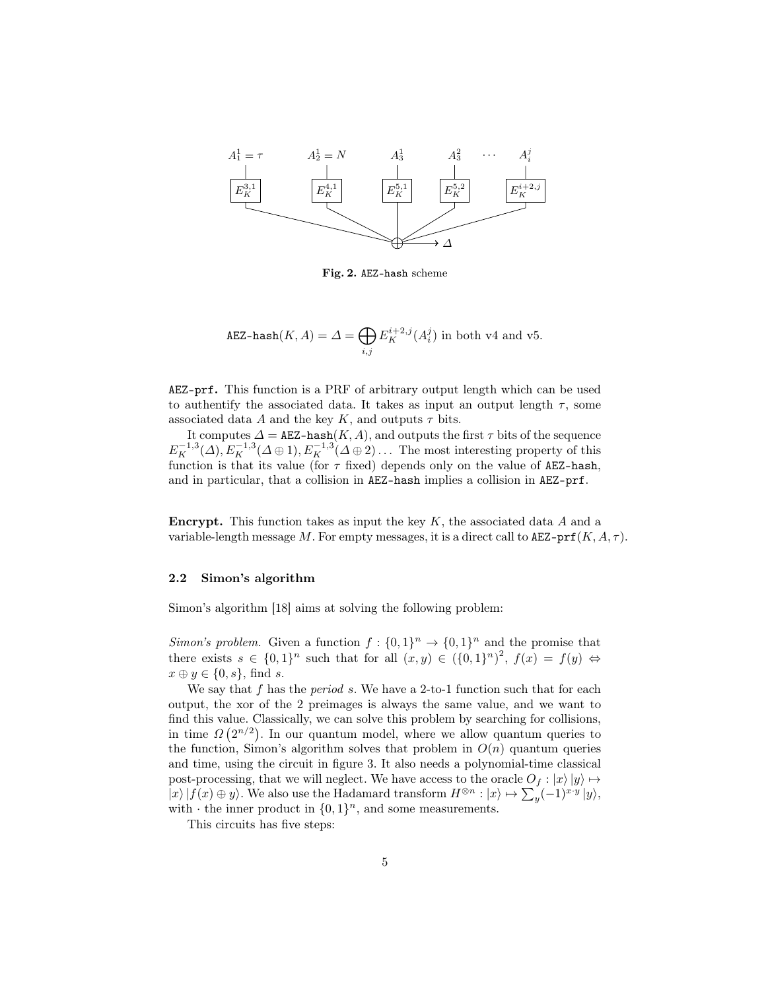

Fig. 2. AEZ-hash scheme

$$
\texttt{AEZ-hash}(K, A) = \Delta = \bigoplus_{i,j} E_K^{i+2,j}(A_i^j) \text{ in both v4 and v5.}
$$

AEZ-prf. This function is a PRF of arbitrary output length which can be used to authentify the associated data. It takes as input an output length  $\tau$ , some associated data *A* and the key *K*, and outputs  $\tau$  bits.

It computes  $\Delta = \texttt{AEZ-hash}(K,A)$ , and outputs the first  $\tau$  bits of the sequence  $E_K^{-1,3}(\Delta)$ ,  $E_K^{-1,3}(\Delta \oplus 1)$ ,  $E_K^{-1,3}(\Delta \oplus 2)$ ... The most interesting property of this function is that its value (for *τ* fixed) depends only on the value of AEZ-hash, and in particular, that a collision in AEZ-hash implies a collision in AEZ-prf.

Encrypt. This function takes as input the key *K*, the associated data *A* and a variable-length message *M*. For empty messages, it is a direct call to  $\texttt{AEZ-prf}(K, A, \tau)$ .

#### 2.2 Simon's algorithm

Simon's algorithm [18] aims at solving the following problem:

*Simon's problem.* Given a function  $f: \{0,1\}^n \to \{0,1\}^n$  and the promise that there exists  $s \in \{0,1\}^n$  such that for all  $(x, y) \in (\{0,1\}^n)^2$ ,  $f(x) = f(y) \Leftrightarrow$  $x \oplus y \in \{0, s\}$ , find *s*.

We say that f has the *period* s. We have a 2-to-1 function such that for each output, the xor of the 2 preimages is always the same value, and we want to find this value. Classically, we can solve this problem by searching for collisions, in time  $\Omega(2^{n/2})$ . In our quantum model, where we allow quantum queries to the function, Simon's algorithm solves that problem in  $O(n)$  quantum queries and time, using the circuit in figure 3. It also needs a polynomial-time classical post-processing, that we will neglect. We have access to the oracle  $O_f$  :  $|x\rangle|y\rangle \mapsto$  $|x\rangle |f(x) \oplus y\rangle$ . We also use the Hadamard transform  $H^{\otimes n} : |x\rangle \mapsto \sum_{y} (-1)^{x \cdot y} |y\rangle$ , with  $\cdot$  the inner product in  $\{0,1\}^n$ , and some measurements.

This circuits has five steps: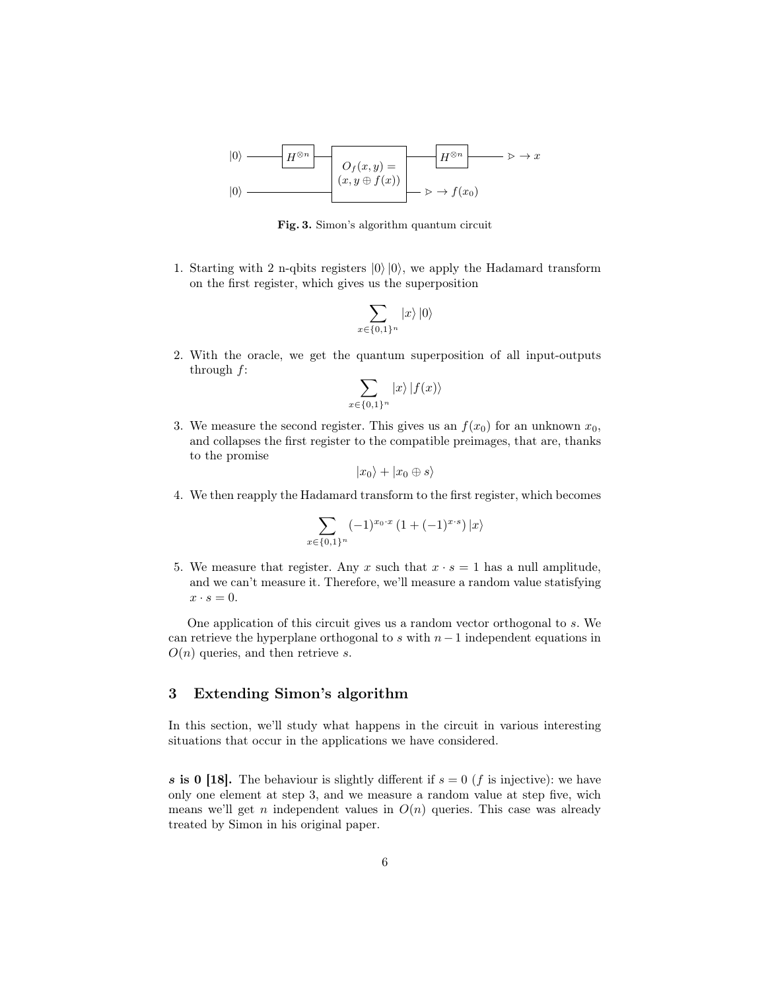$$
|0\rangle \longrightarrow H^{\otimes n} \longrightarrow O_f(x, y) = H^{\otimes n} \longrightarrow x
$$
  

$$
|0\rangle \longrightarrow (x, y \oplus f(x)) \longrightarrow x \rightarrow f(x_0)
$$

Fig. 3. Simon's algorithm quantum circuit

1. Starting with 2 n-qbits registers *|*0*⟩ |*0*⟩*, we apply the Hadamard transform on the first register, which gives us the superposition

$$
\sum_{x\in\{0,1\}^n} |x\rangle \,|0\rangle
$$

2. With the oracle, we get the quantum superposition of all input-outputs through *f*:

$$
\sum_{x \in \{0,1\}^n} |x\rangle |f(x)\rangle
$$

3. We measure the second register. This gives us an  $f(x_0)$  for an unknown  $x_0$ , and collapses the first register to the compatible preimages, that are, thanks to the promise

$$
|x_0\rangle + |x_0 \oplus s\rangle
$$

4. We then reapply the Hadamard transform to the first register, which becomes

$$
\sum_{x \in \{0,1\}^n} (-1)^{x_0 \cdot x} \left(1 + (-1)^{x \cdot s}\right) |x\rangle
$$

5. We measure that register. Any *x* such that  $x \cdot s = 1$  has a null amplitude, and we can't measure it. Therefore, we'll measure a random value statisfying  $x \cdot s = 0.$ 

One application of this circuit gives us a random vector orthogonal to *s*. We can retrieve the hyperplane orthogonal to *s* with *n−*1 independent equations in *O*(*n*) queries, and then retrieve *s*.

# 3 Extending Simon's algorithm

In this section, we'll study what happens in the circuit in various interesting situations that occur in the applications we have considered.

*s* is 0 [18]. The behaviour is slightly different if  $s = 0$  (*f* is injective): we have only one element at step 3, and we measure a random value at step five, wich means we'll get *n* independent values in  $O(n)$  queries. This case was already treated by Simon in his original paper.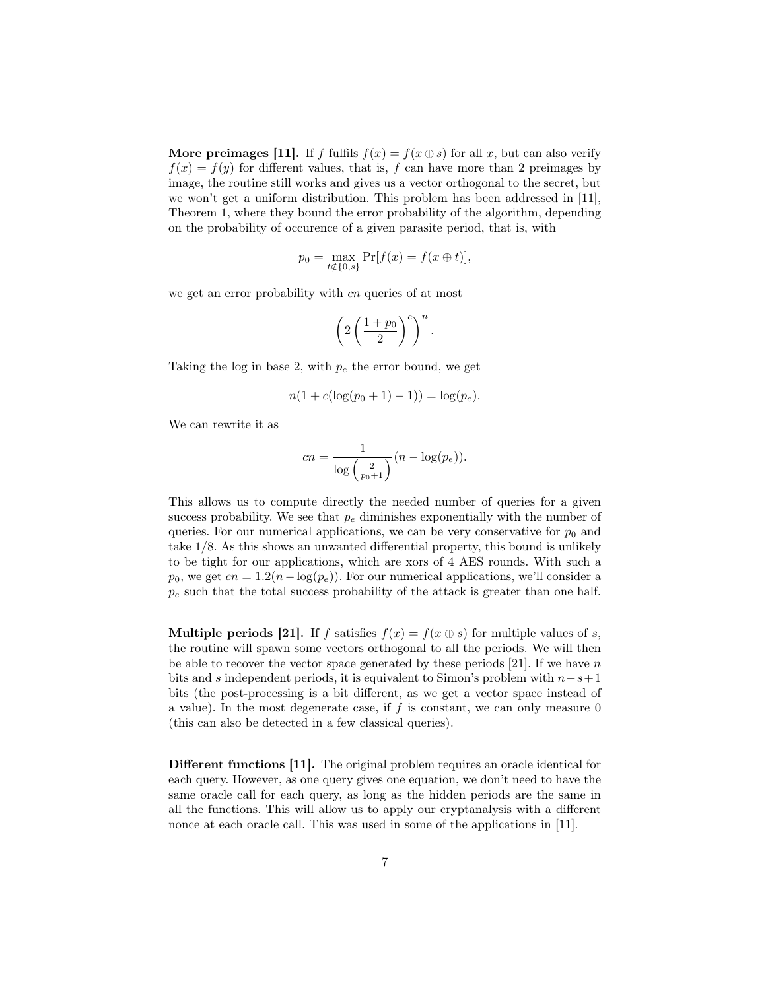More preimages [11]. If *f* fulfils  $f(x) = f(x \oplus s)$  for all *x*, but can also verify  $f(x) = f(y)$  for different values, that is, *f* can have more than 2 preimages by image, the routine still works and gives us a vector orthogonal to the secret, but we won't get a uniform distribution. This problem has been addressed in [11], Theorem 1, where they bound the error probability of the algorithm, depending on the probability of occurence of a given parasite period, that is, with

$$
p_0 = \max_{t \notin \{0, s\}} \Pr[f(x) = f(x \oplus t)],
$$

we get an error probability with *cn* queries of at most

$$
\left(2\left(\frac{1+p_0}{2}\right)^c\right)^n.
$$

Taking the log in base 2, with *p<sup>e</sup>* the error bound, we get

$$
n(1 + c(\log(p_0 + 1) - 1)) = \log(p_e).
$$

We can rewrite it as

$$
cn = \frac{1}{\log\left(\frac{2}{p_0+1}\right)} (n - \log(p_e)).
$$

This allows us to compute directly the needed number of queries for a given success probability. We see that  $p_e$  diminishes exponentially with the number of queries. For our numerical applications, we can be very conservative for  $p_0$  and take 1*/*8. As this shows an unwanted differential property, this bound is unlikely to be tight for our applications, which are xors of 4 AES rounds. With such a  $p_0$ , we get  $cn = 1.2(n - \log(p_e))$ . For our numerical applications, we'll consider a *p<sup>e</sup>* such that the total success probability of the attack is greater than one half.

**Multiple periods [21].** If *f* satisfies  $f(x) = f(x \oplus s)$  for multiple values of *s*, the routine will spawn some vectors orthogonal to all the periods. We will then be able to recover the vector space generated by these periods [21]. If we have *n* bits and *s* independent periods, it is equivalent to Simon's problem with *n−s*+1 bits (the post-processing is a bit different, as we get a vector space instead of a value). In the most degenerate case, if *f* is constant, we can only measure 0 (this can also be detected in a few classical queries).

Different functions [11]. The original problem requires an oracle identical for each query. However, as one query gives one equation, we don't need to have the same oracle call for each query, as long as the hidden periods are the same in all the functions. This will allow us to apply our cryptanalysis with a different nonce at each oracle call. This was used in some of the applications in [11].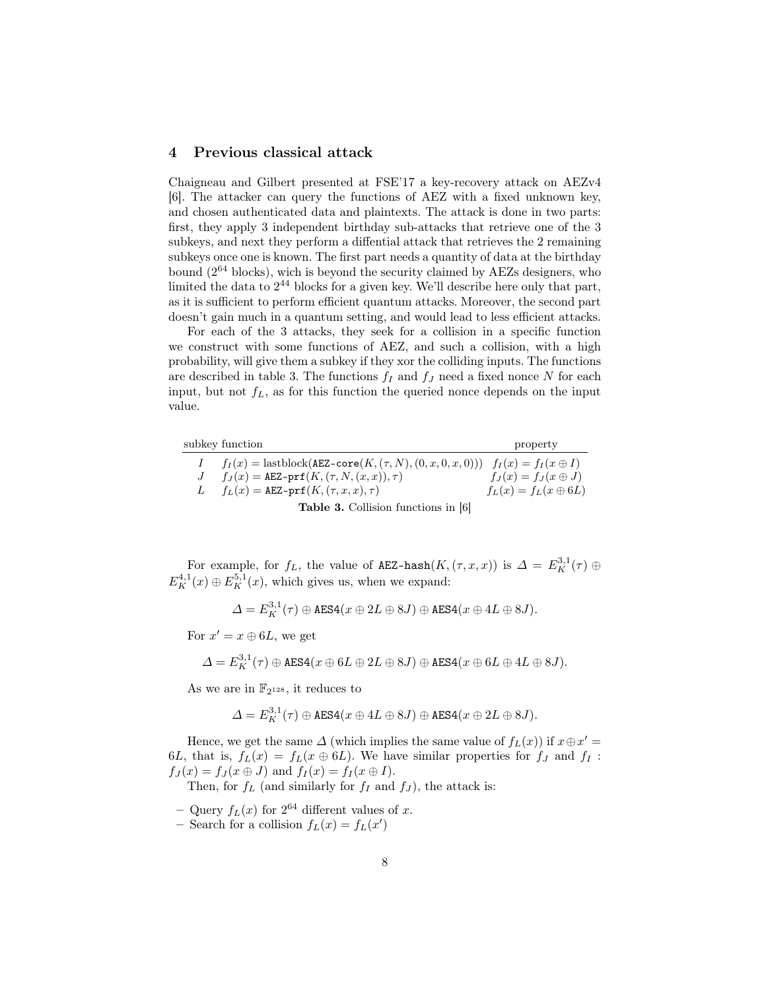# 4 Previous classical attack

Chaigneau and Gilbert presented at FSE'17 a key-recovery attack on AEZv4 [6]. The attacker can query the functions of AEZ with a fixed unknown key, and chosen authenticated data and plaintexts. The attack is done in two parts: first, they apply 3 independent birthday sub-attacks that retrieve one of the 3 subkeys, and next they perform a diffential attack that retrieves the 2 remaining subkeys once one is known. The first part needs a quantity of data at the birthday bound (2 <sup>64</sup> blocks), wich is beyond the security claimed by AEZs designers, who limited the data to  $2^{44}$  blocks for a given key. We'll describe here only that part, as it is sufficient to perform efficient quantum attacks. Moreover, the second part doesn't gain much in a quantum setting, and would lead to less efficient attacks.

For each of the 3 attacks, they seek for a collision in a specific function we construct with some functions of AEZ, and such a collision, with a high probability, will give them a subkey if they xor the colliding inputs. The functions are described in table 3. The functions  $f_I$  and  $f_J$  need a fixed nonce N for each input, but not *fL*, as for this function the queried nonce depends on the input value.

subkey function property

| $\perp$        | $f_I(x) =$ lastblock(AEZ-core $(K, (\tau, N), (0, x, 0, x, 0)))$ $f_I(x) = f_I(x \oplus I)$ |                             |
|----------------|---------------------------------------------------------------------------------------------|-----------------------------|
| $\overline{J}$ | $f_J(x) = \texttt{AEZ-prf}(K, (\tau, N, (x, x)), \tau)$                                     | $f_J(x) = f_J(x \oplus J)$  |
| - L            | $f_L(x) = \texttt{AEZ-prf}(K, (\tau, x, x), \tau)$                                          | $f_L(x) = f_L(x \oplus 6L)$ |
|                | <b>Table 3.</b> Collision functions in [6]                                                  |                             |

For example, for  $f_L$ , the value of AEZ-hash $(K, (\tau, x, x))$  is  $\Delta = E_K^{3,1}(\tau) \oplus$  $E_K^{4,1}(x) \oplus E_K^{5,1}(x)$ , which gives us, when we expand:

$$
\varDelta=E_K^{3,1}(\tau)\oplus\text{AES4}(x\oplus 2L\oplus 8J)\oplus\text{AES4}(x\oplus 4L\oplus 8J).
$$

For  $x' = x \oplus 6L$ , we get

$$
\Delta = E_K^{3,1}(\tau) \oplus \text{AES4}(x \oplus 6L \oplus 2L \oplus 8J) \oplus \text{AES4}(x \oplus 6L \oplus 4L \oplus 8J).
$$

As we are in  $\mathbb{F}_{2^{128}}$ , it reduces to

$$
\varDelta=E_K^{3,1}(\tau)\oplus\text{AES4}(x\oplus 4L\oplus 8J)\oplus\text{AES4}(x\oplus 2L\oplus 8J).
$$

Hence, we get the same  $\Delta$  (which implies the same value of  $f_L(x)$ ) if  $x \oplus x' =$ 6*L*, that is,  $f_L(x) = f_L(x \oplus 6L)$ . We have similar properties for  $f_J$  and  $f_I$ :  $f_J(x) = f_J(x \oplus J)$  and  $f_I(x) = f_I(x \oplus I)$ .

Then, for  $f_L$  (and similarly for  $f_I$  and  $f_J$ ), the attack is:

- $-$  Query  $f_L(x)$  for  $2^{64}$  different values of *x*.
- Search for a collision  $f_L(x) = f_L(x')$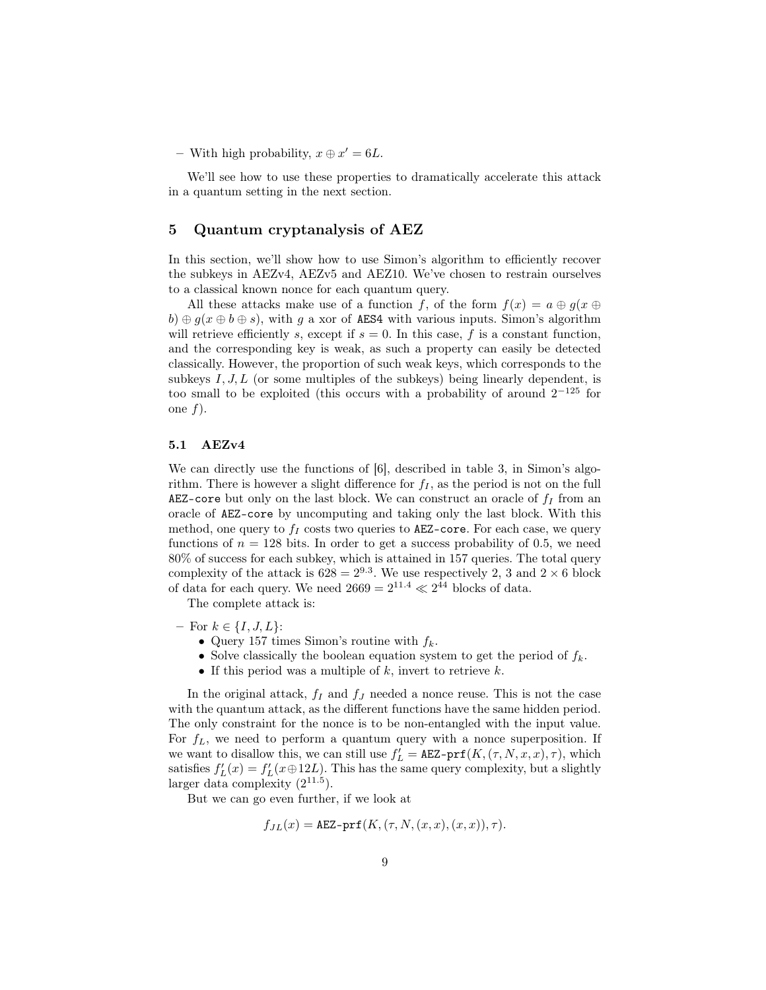− With high probability,  $x \oplus x' = 6L$ .

We'll see how to use these properties to dramatically accelerate this attack in a quantum setting in the next section.

# 5 Quantum cryptanalysis of AEZ

In this section, we'll show how to use Simon's algorithm to efficiently recover the subkeys in AEZv4, AEZv5 and AEZ10. We've chosen to restrain ourselves to a classical known nonce for each quantum query.

All these attacks make use of a function *f*, of the form  $f(x) = a \oplus g(x \oplus y)$  $b) \oplus q(x \oplus b \oplus s)$ , with *q* a xor of AES4 with various inputs. Simon's algorithm will retrieve efficiently *s*, except if  $s = 0$ . In this case,  $f$  is a constant function, and the corresponding key is weak, as such a property can easily be detected classically. However, the proportion of such weak keys, which corresponds to the subkeys  $I, J, L$  (or some multiples of the subkeys) being linearly dependent, is too small to be exploited (this occurs with a probability of around 2 *<sup>−</sup>*<sup>125</sup> for one *f*).

#### 5.1 AEZv4

We can directly use the functions of [6], described in table 3, in Simon's algorithm. There is however a slight difference for  $f_I$ , as the period is not on the full AEZ-core but only on the last block. We can construct an oracle of  $f_I$  from an oracle of AEZ-core by uncomputing and taking only the last block. With this method, one query to  $f_I$  costs two queries to AEZ-core. For each case, we query functions of  $n = 128$  bits. In order to get a success probability of 0.5, we need 80% of success for each subkey, which is attained in 157 queries. The total query complexity of the attack is  $628 = 2^{9.3}$ . We use respectively 2, 3 and  $2 \times 6$  block of data for each query. We need  $2669 = 2^{11.4} \ll 2^{44}$  blocks of data.

The complete attack is:

- For *k ∈ {I, J, L}*:
	- *•* Query 157 times Simon's routine with *fk*.
	- *•* Solve classically the boolean equation system to get the period of *fk*.
	- *•* If this period was a multiple of *k*, invert to retrieve *k*.

In the original attack,  $f_I$  and  $f_J$  needed a nonce reuse. This is not the case with the quantum attack, as the different functions have the same hidden period. The only constraint for the nonce is to be non-entangled with the input value. For  $f_L$ , we need to perform a quantum query with a nonce superposition. If we want to disallow this, we can still use  $f'_{L} = \texttt{AEZ-prf}(K, (\tau, N, x, x), \tau)$ , which satisfies  $f'_{L}(x) = f'_{L}(x \oplus 12L)$ . This has the same query complexity, but a slightly larger data complexity  $(2^{11.5})$ .

But we can go even further, if we look at

$$
f_{JL}(x) = \texttt{AEZ-prf}(K, (\tau, N, (x, x), (x, x)), \tau).
$$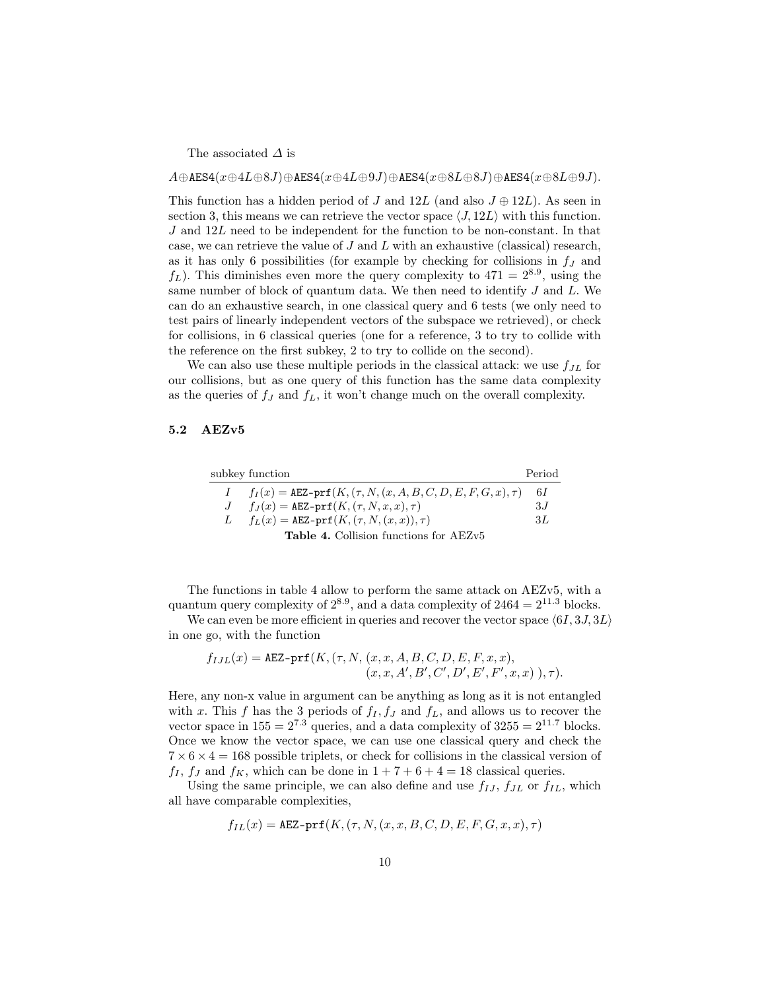The associated *∆* is

 $A \oplus AES4(x \oplus 4L \oplus 8J) \oplus AES4(x \oplus 4L \oplus 9J) \oplus AES4(x \oplus 8L \oplus 8J) \oplus AES4(x \oplus 8L \oplus 9J).$ 

This function has a hidden period of *J* and  $12L$  (and also  $J \oplus 12L$ ). As seen in section 3, this means we can retrieve the vector space  $\langle J, 12L \rangle$  with this function. *J* and 12*L* need to be independent for the function to be non-constant. In that case, we can retrieve the value of *J* and *L* with an exhaustive (classical) research, as it has only 6 possibilities (for example by checking for collisions in *f<sup>J</sup>* and  $f_L$ ). This diminishes even more the query complexity to  $471 = 2^{8.9}$ , using the same number of block of quantum data. We then need to identify *J* and *L*. We can do an exhaustive search, in one classical query and 6 tests (we only need to test pairs of linearly independent vectors of the subspace we retrieved), or check for collisions, in 6 classical queries (one for a reference, 3 to try to collide with the reference on the first subkey, 2 to try to collide on the second).

We can also use these multiple periods in the classical attack: we use *fJL* for our collisions, but as one query of this function has the same data complexity as the queries of  $f_J$  and  $f_L$ , it won't change much on the overall complexity.

### 5.2 AEZv5

|               | subkey function                                                           | Period       |
|---------------|---------------------------------------------------------------------------|--------------|
|               | $f_I(x) = \text{AEZ-prf}(K, (\tau, N, (x, A, B, C, D, E, F, G, x), \tau)$ | 6 L          |
| J             | $f_J(x) = \texttt{AEZ-prf}(K, (\tau, N, x, x), \tau)$                     | -3 <i>.I</i> |
| $\mathcal{L}$ | $f_L(x) = \texttt{AEZ-prf}(K, (\tau, N, (x, x)), \tau)$                   | 3L           |
|               | <b>Table 4.</b> Collision functions for AEZv5                             |              |

The functions in table 4 allow to perform the same attack on AEZv5, with a quantum query complexity of  $2^{8.9}$ , and a data complexity of  $2464 = 2^{11.3}$  blocks.

We can even be more efficient in queries and recover the vector space *⟨*6*I,* 3*J,* 3*L⟩* in one go, with the function

$$
f_{I J L}(x) = \text{AEZ-prf}(K, (\tau, N, (x, x, A, B, C, D, E, F, x, x),
$$

$$
(x, x, A', B', C', D', E', F', x, x), \tau).
$$

Here, any non-x value in argument can be anything as long as it is not entangled with *x*. This *f* has the 3 periods of  $f_I, f_J$  and  $f_L$ , and allows us to recover the vector space in  $155 = 2^{7.3}$  queries, and a data complexity of  $3255 = 2^{11.7}$  blocks. Once we know the vector space, we can use one classical query and check the  $7 \times 6 \times 4 = 168$  possible triplets, or check for collisions in the classical version of  $f_I$ ,  $f_J$  and  $f_K$ , which can be done in  $1 + 7 + 6 + 4 = 18$  classical queries.

Using the same principle, we can also define and use  $f_{IJ}$ ,  $f_{JL}$  or  $f_{IL}$ , which all have comparable complexities,

$$
f_{IL}(x) = \texttt{AEZ-prf}(K, (\tau, N, (x, x, B, C, D, E, F, G, x, x), \tau)
$$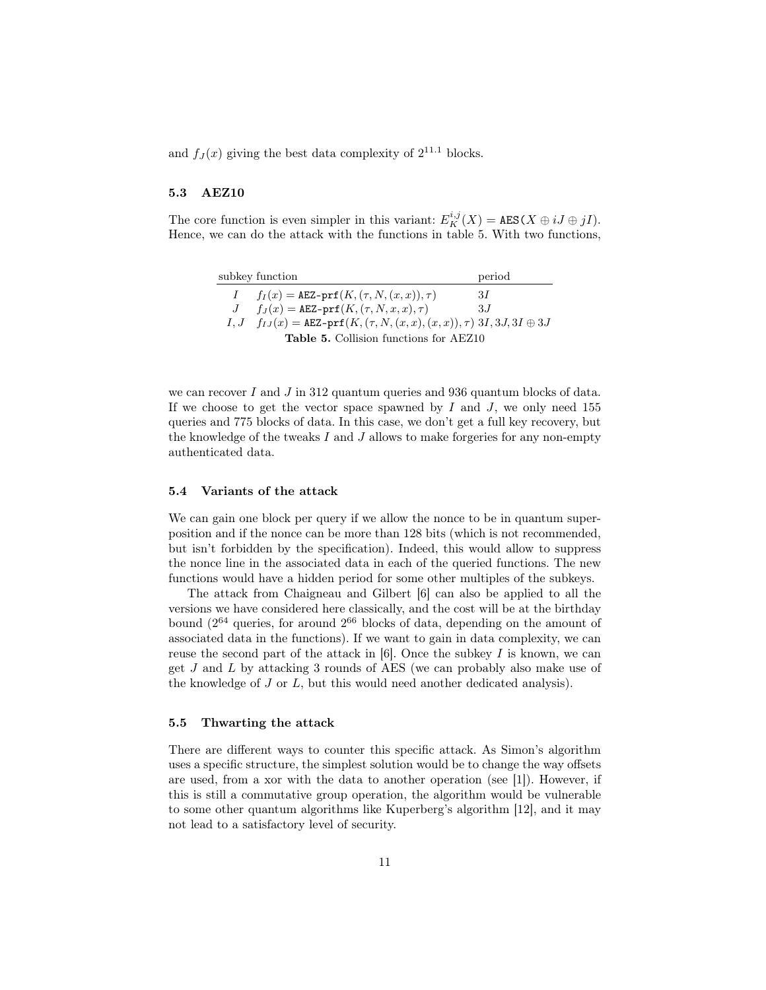and  $f_J(x)$  giving the best data complexity of  $2^{11.1}$  blocks.

### 5.3 AEZ10

The core function is even simpler in this variant:  $E_K^{i,j}(X) = \text{AES}(X \oplus iJ \oplus jI)$ . Hence, we can do the attack with the functions in table 5. With two functions,

|                                        | subkey function                                                                                       | period |  |
|----------------------------------------|-------------------------------------------------------------------------------------------------------|--------|--|
|                                        | $f_I(x) = \texttt{AEZ-prf}(K, (\tau, N, (x, x)), \tau)$                                               | -3I    |  |
|                                        | $f_J(x) = \texttt{AEZ-prf}(K, (\tau, N, x, x), \tau)$                                                 | 3.I    |  |
|                                        | $I, J \quad f_{IJ}(x) = \texttt{AEZ-prf}(K, (\tau, N, (x, x), (x, x)), \tau) \; 3I, 3J, 3I \oplus 3J$ |        |  |
| Table 5. Collision functions for AEZ10 |                                                                                                       |        |  |

we can recover *I* and *J* in 312 quantum queries and 936 quantum blocks of data. If we choose to get the vector space spawned by *I* and *J*, we only need 155 queries and 775 blocks of data. In this case, we don't get a full key recovery, but the knowledge of the tweaks *I* and *J* allows to make forgeries for any non-empty authenticated data.

#### 5.4 Variants of the attack

We can gain one block per query if we allow the nonce to be in quantum superposition and if the nonce can be more than 128 bits (which is not recommended, but isn't forbidden by the specification). Indeed, this would allow to suppress the nonce line in the associated data in each of the queried functions. The new functions would have a hidden period for some other multiples of the subkeys.

The attack from Chaigneau and Gilbert [6] can also be applied to all the versions we have considered here classically, and the cost will be at the birthday bound (2<sup>64</sup> queries, for around 2<sup>66</sup> blocks of data, depending on the amount of associated data in the functions). If we want to gain in data complexity, we can reuse the second part of the attack in [6]. Once the subkey *I* is known, we can get *J* and *L* by attacking 3 rounds of AES (we can probably also make use of the knowledge of *J* or *L*, but this would need another dedicated analysis).

#### 5.5 Thwarting the attack

There are different ways to counter this specific attack. As Simon's algorithm uses a specific structure, the simplest solution would be to change the way offsets are used, from a xor with the data to another operation (see [1]). However, if this is still a commutative group operation, the algorithm would be vulnerable to some other quantum algorithms like Kuperberg's algorithm [12], and it may not lead to a satisfactory level of security.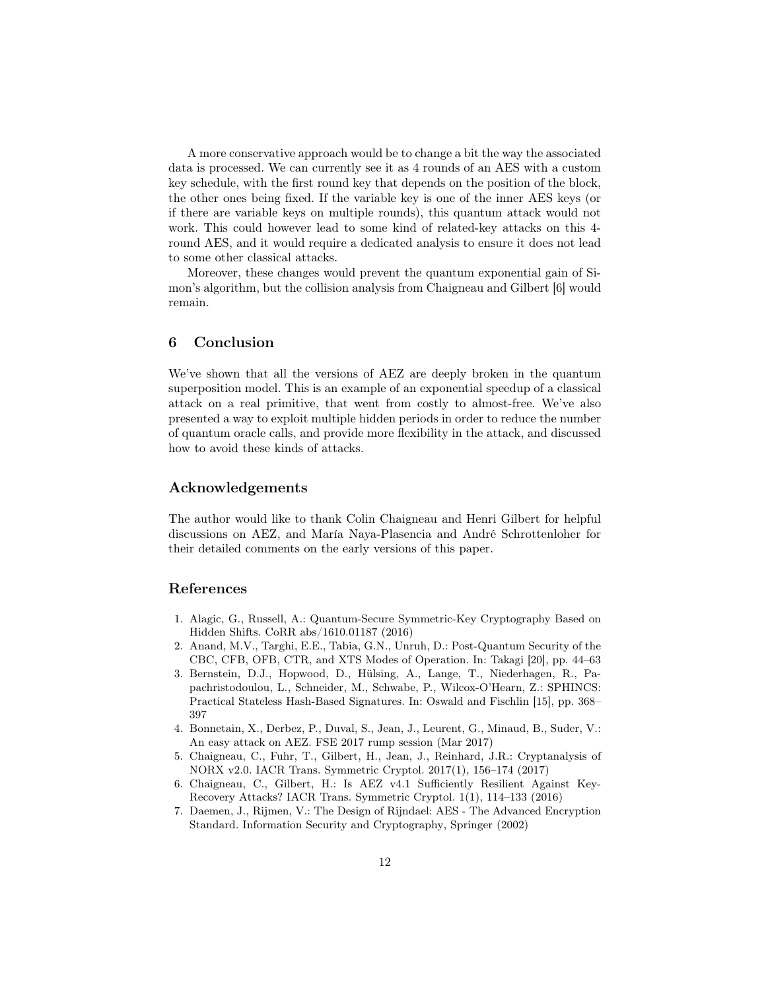A more conservative approach would be to change a bit the way the associated data is processed. We can currently see it as 4 rounds of an AES with a custom key schedule, with the first round key that depends on the position of the block, the other ones being fixed. If the variable key is one of the inner AES keys (or if there are variable keys on multiple rounds), this quantum attack would not work. This could however lead to some kind of related-key attacks on this 4 round AES, and it would require a dedicated analysis to ensure it does not lead to some other classical attacks.

Moreover, these changes would prevent the quantum exponential gain of Simon's algorithm, but the collision analysis from Chaigneau and Gilbert [6] would remain.

# 6 Conclusion

We've shown that all the versions of AEZ are deeply broken in the quantum superposition model. This is an example of an exponential speedup of a classical attack on a real primitive, that went from costly to almost-free. We've also presented a way to exploit multiple hidden periods in order to reduce the number of quantum oracle calls, and provide more flexibility in the attack, and discussed how to avoid these kinds of attacks.

# Acknowledgements

The author would like to thank Colin Chaigneau and Henri Gilbert for helpful discussions on AEZ, and María Naya-Plasencia and André Schrottenloher for their detailed comments on the early versions of this paper.

# References

- 1. Alagic, G., Russell, A.: Quantum-Secure Symmetric-Key Cryptography Based on Hidden Shifts. CoRR abs/1610.01187 (2016)
- 2. Anand, M.V., Targhi, E.E., Tabia, G.N., Unruh, D.: Post-Quantum Security of the CBC, CFB, OFB, CTR, and XTS Modes of Operation. In: Takagi [20], pp. 44–63
- 3. Bernstein, D.J., Hopwood, D., Hülsing, A., Lange, T., Niederhagen, R., Papachristodoulou, L., Schneider, M., Schwabe, P., Wilcox-O'Hearn, Z.: SPHINCS: Practical Stateless Hash-Based Signatures. In: Oswald and Fischlin [15], pp. 368– 397
- 4. Bonnetain, X., Derbez, P., Duval, S., Jean, J., Leurent, G., Minaud, B., Suder, V.: An easy attack on AEZ. FSE 2017 rump session (Mar 2017)
- 5. Chaigneau, C., Fuhr, T., Gilbert, H., Jean, J., Reinhard, J.R.: Cryptanalysis of NORX v2.0. IACR Trans. Symmetric Cryptol. 2017(1), 156–174 (2017)
- 6. Chaigneau, C., Gilbert, H.: Is AEZ v4.1 Sufficiently Resilient Against Key-Recovery Attacks? IACR Trans. Symmetric Cryptol. 1(1), 114–133 (2016)
- 7. Daemen, J., Rijmen, V.: The Design of Rijndael: AES The Advanced Encryption Standard. Information Security and Cryptography, Springer (2002)